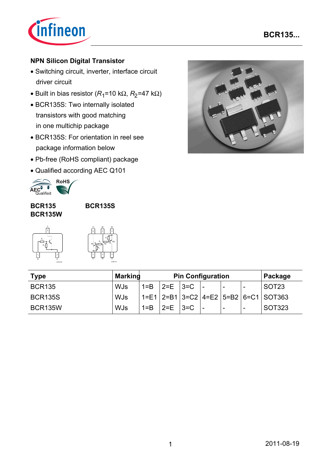

# **NPN Silicon Digital Transistor**

- Switching circuit, inverter, interface circuit driver circuit
- Built in bias resistor ( $R_1$ =10 k $\Omega$ ,  $R_2$ =47 k $\Omega$ )
- BCR135S: Two internally isolated transistors with good matching in one multichip package
- BCR135S: For orientation in reel see package information below
- Pb-free (RoHS compliant) package
- Qualified according AEC Q101



### **BCR135 BCR135W**

**BCR135S**



| C1<br>6         | B <sub>2</sub><br>5         | E <sub>2</sub>  |
|-----------------|-----------------------------|-----------------|
| TR <sub>1</sub> | $R_{2}$<br>R<br>$R_1$<br>R, | TR <sub>2</sub> |

EHA07174

| <b>Type</b>    | <b>Markind</b><br><b>Pin Configuration</b> |         |          |         | Package                  |   |                                                  |
|----------------|--------------------------------------------|---------|----------|---------|--------------------------|---|--------------------------------------------------|
| <b>BCR135</b>  | <b>WJs</b>                                 | $1 = B$ | 2=E 13=C |         |                          | - | SOT <sub>23</sub>                                |
| <b>BCR135S</b> | <b>WJs</b>                                 |         |          |         |                          |   | 1=E1   2=B1   3=C2   4=E2   5=B2   6=C1   SOT363 |
| <b>BCR135W</b> | <b>WJs</b>                                 | $1 = B$ | $2 = E$  | $13=$ C | $\overline{\phantom{a}}$ | - | SOT323                                           |



| 2011-08-19 |
|------------|
|            |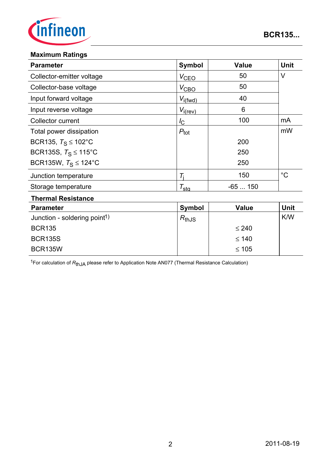

### **Maximum Ratings**

BCR135W

| <b>Parameter</b>                         | <b>Symbol</b>       | <b>Value</b> | <b>Unit</b> |
|------------------------------------------|---------------------|--------------|-------------|
| Collector-emitter voltage                | $V_{CEQ}$           | 50           | $\vee$      |
| Collector-base voltage                   | $V_{\text{CBO}}$    | 50           |             |
| Input forward voltage                    | $V_{i(fwd)}$        | 40           |             |
| Input reverse voltage                    | $V_{i(rev)}$        | 6            |             |
| Collector current                        | $I_{\rm C}$         | 100          | mA          |
| Total power dissipation                  | $P_{\text{tot}}$    |              | mW          |
| BCR135, $T_S \le 102^{\circ}$ C          |                     | 200          |             |
| BCR135S, $T_S \le 115^{\circ}$ C         |                     | 250          |             |
| BCR135W, $T_S \le 124$ °C                |                     | 250          |             |
| Junction temperature                     | $T_{\rm i}$         | 150          | $^{\circ}C$ |
| Storage temperature                      | $\tau_{\text{stg}}$ | $-65150$     |             |
| <b>Thermal Resistance</b>                |                     |              |             |
| <b>Parameter</b>                         | <b>Symbol</b>       | <b>Value</b> | <b>Unit</b> |
| Junction - soldering point <sup>1)</sup> | $R_{thJS}$          |              | K/W         |
| <b>BCR135</b>                            |                     | $\leq 240$   |             |
| <b>BCR135S</b>                           |                     | $\leq 140$   |             |

1For calculation of *R*thJA please refer to Application Note AN077 (Thermal Resistance Calculation)

≤ 105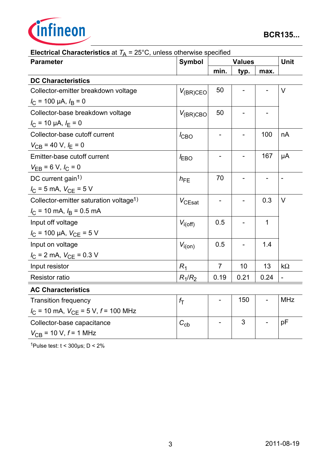

| $\alpha$ $\alpha$ $\alpha$ $\beta$ $\alpha$ $\beta$ $\beta$<br><b>Parameter</b> | Symbol             | <b>Values</b>  |      |                | Unit           |
|---------------------------------------------------------------------------------|--------------------|----------------|------|----------------|----------------|
|                                                                                 |                    | min.           | typ. | max.           |                |
| <b>DC Characteristics</b>                                                       |                    |                |      |                |                |
| Collector-emitter breakdown voltage                                             | $V_{(BR)CEO}$      | 50             |      |                | $\vee$         |
| $I_C$ = 100 µA, $I_B$ = 0                                                       |                    |                |      |                |                |
| Collector-base breakdown voltage                                                | $V_{(BR)CBO}$      | 50             |      |                |                |
| $I_{\rm C}$ = 10 µA, $I_{\rm E}$ = 0                                            |                    |                |      |                |                |
| Collector-base cutoff current                                                   | $I_{CBO}$          |                |      | 100            | nA             |
| $V_{CB}$ = 40 V, $I_E$ = 0                                                      |                    |                |      |                |                |
| Emitter-base cutoff current                                                     | <b>EBO</b>         |                |      | 167            | μA             |
| $V_{EB} = 6 V, I_C = 0$                                                         |                    |                |      |                |                |
| DC current gain <sup>1)</sup>                                                   | $h_{FE}$           | 70             |      | $\overline{a}$ | $\overline{a}$ |
| $I_C = 5$ mA, $V_{CE} = 5$ V                                                    |                    |                |      |                |                |
| Collector-emitter saturation voltage <sup>1)</sup>                              | $V_{\text{CEsat}}$ | -              |      | 0.3            | V              |
| $I_C$ = 10 mA, $I_B$ = 0.5 mA                                                   |                    |                |      |                |                |
| Input off voltage                                                               | $V_{i(off)}$       | 0.5            |      | 1              |                |
| $I_C$ = 100 µA, $V_{CE}$ = 5 V                                                  |                    |                |      |                |                |
| Input on voltage                                                                | $V_{i(on)}$        | 0.5            |      | 1.4            |                |
| $I_{\rm C}$ = 2 mA, $V_{\rm CE}$ = 0.3 V                                        |                    |                |      |                |                |
| Input resistor                                                                  | $R_1$              | $\overline{7}$ | 10   | 13             | $k\Omega$      |
| <b>Resistor ratio</b>                                                           | $R_1/R_2$          | 0.19           | 0.21 | 0.24           |                |
| <b>AC Characteristics</b>                                                       |                    |                |      |                |                |
| <b>Transition frequency</b>                                                     | $f_{\mathsf{T}}$   |                | 150  |                | <b>MHz</b>     |
| $I_{\text{C}}$ = 10 mA, $V_{\text{CE}}$ = 5 V, $f$ = 100 MHz                    |                    |                |      |                |                |
| Collector-base capacitance                                                      | $C_{\text{cb}}$    |                | 3    |                | pF             |
| $V_{\text{CB}}$ = 10 V, $f$ = 1 MHz                                             |                    |                |      |                |                |

| <b>Electrical Characteristics</b> at $T_A = 25^{\circ}$ C, unless otherwise specified |  |  |
|---------------------------------------------------------------------------------------|--|--|
|                                                                                       |  |  |

1Pulse test:  $t < 300 \mu s$ ;  $D < 2\%$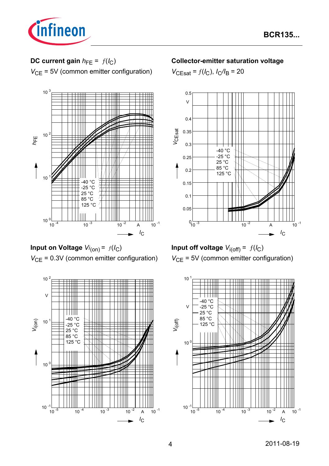

# **DC current gain**  $h_{FE} = f(l_C)$

*V*<sub>CE</sub> = 5V (common emitter configuration)



**Input on Voltage** *Vi* (on) = ƒ(*I*C) *V*<sub>CE</sub> = 0.3V (common emitter configuration)



## **Collector-emitter saturation voltage**

 $V_{\text{CEsat}} = f(I_{\text{C}}), I_{\text{C}}/I_{\text{B}} = 20$ 





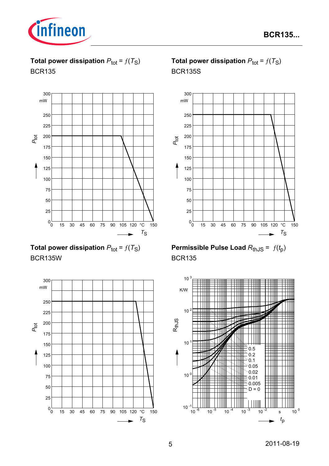

**Total power dissipation**  $P_{\text{tot}} = f(T_S)$ BCR135



**Total power dissipation**  $P_{\text{tot}} = f(T_S)$ BCR135W



# **Total power dissipation**  $P_{\text{tot}} = f(T_S)$ BCR135S



**Permissible Pulse Load**  $R_{th,JS} = f(t_p)$ BCR135

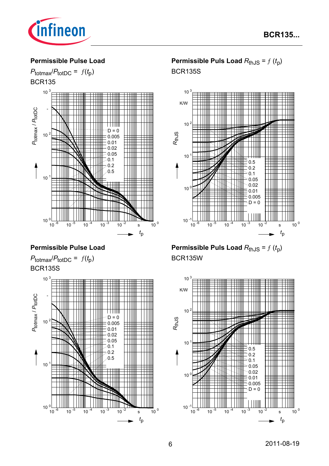

#### **Permissible Pulse Load**



## **Permissible Pulse Load**





# **Permissible Puls Load**  $R_{thJS} = f(t_p)$ BCR135S



**Permissible Puls Load**  $R_{thJS} = f(t_p)$ BCR135W

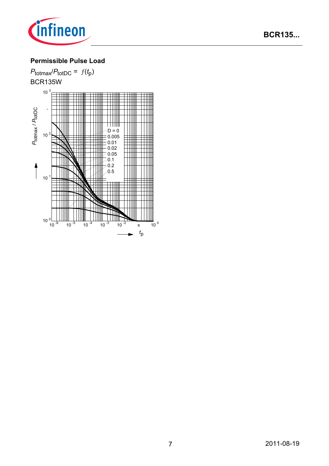

# **Permissible Pulse Load**

 $P_{\text{totmax}}/P_{\text{totDC}} = f(t_p)$ BCR135W  $10^{3}$ *P*totDC - *P*totmax /  $D = 0$  $10<sup>2</sup>$ 0.005 0.01 0.02 0.05  $0.1$ 0.2 0.5 $\vert$  $10<sup>1</sup>$ łШ  $10^{0}$ <br> $10^{1}$  $10^{-6}$   $10^{-5}$   $10^{-4}$   $10^{-3}$   $10^{-2}$  s  $10^{0}$ *t*p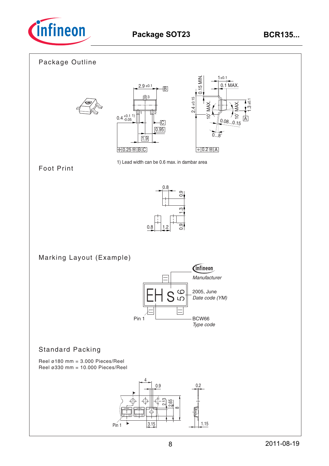

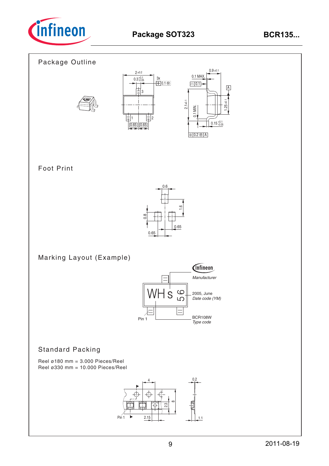

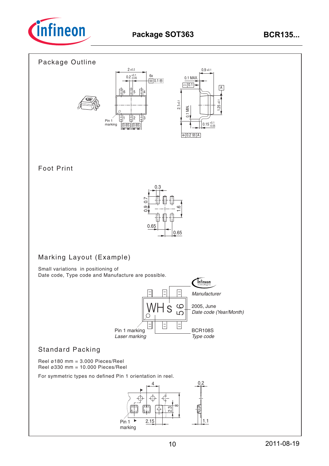